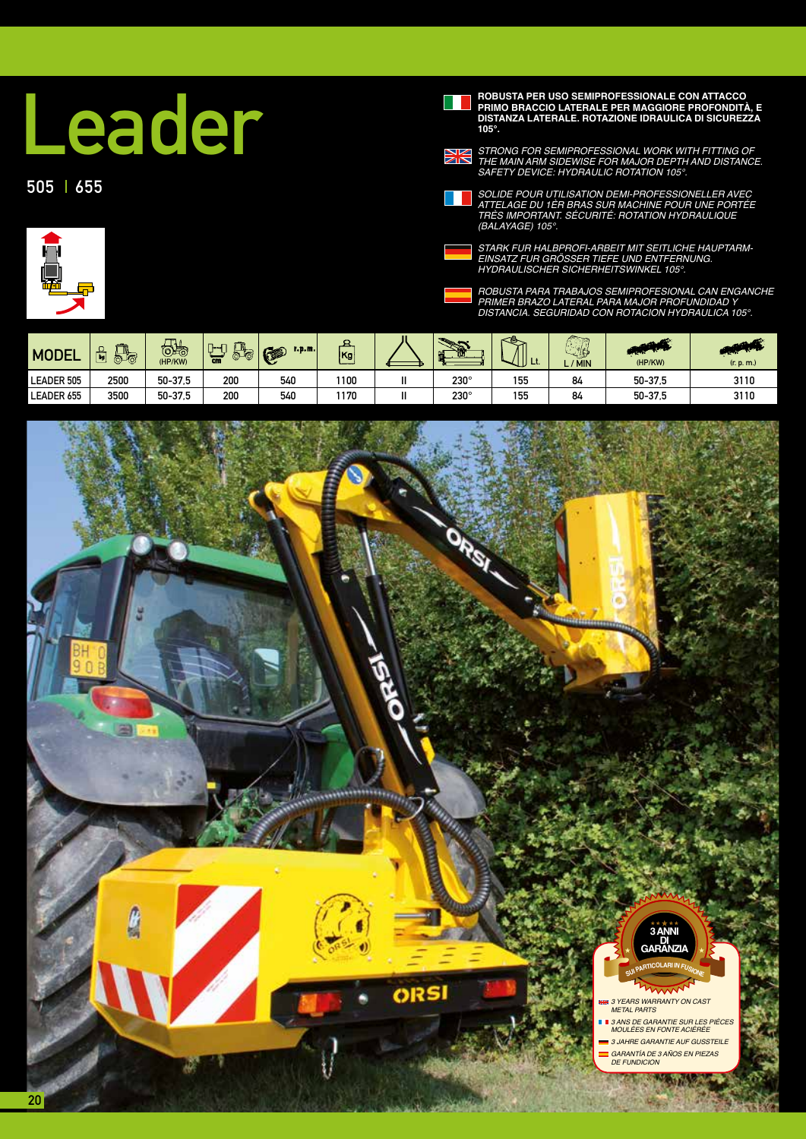## Leader

## $505$   $655$

**PRIMO BRACCIO LATERALE PER MAGGIORE PROFONDITÀ, E DISTANZA LATERALE. ROTAZIONE IDRAULICA DI SICUREZZA 105°.**



*STRONG FOR SEMIPROFESSIONAL WORK WITH FITTING OF THE MAIN ARM SIDEWISE FOR MAJOR DEPTH AND DISTANCE.*  SAFETY DEVICE: HYDRAULIC ROTATION 105°.

*SOLIDE POUR UTILISATION DEMI-PROFESSIONELLER AVEC ATTELAGE DU 1ÈR BRAS SUR MACHINE POUR UNE PORTÉE TRÈS IMPORTANT. SÉCURITÉ: ROTATION HYDRAULIQUE*  (BALAYAGE) 105°.





*ROBUSTA PARA TRABAJOS SEMIPROFESIONAL CAN ENGANCHE PRIMER BRAZO LATERAL PARA MAJOR PROFUNDIDAD Y*  DISTANCIA. SEGURIDAD CON ROTACION HYDRAULICA 105°.

| <b>MODEL</b>      | <b>Film</b><br>苘<br>⊥<br>⊢⊚<br><b>RL</b> | $\mathbf{\tau}$<br>ಾಕ<br>'HP/KW) | $\rightarrow$<br><b>board</b><br>cm | $1.0.01$ .<br><b>KSP</b><br>$\sim$ | Kg   | m           | œ.  | ---<br>-15<br>/ MIN | (HP/KW) | (r. p. m.) |
|-------------------|------------------------------------------|----------------------------------|-------------------------------------|------------------------------------|------|-------------|-----|---------------------|---------|------------|
| <b>LEADER 505</b> | 2500                                     | 50-37.5                          | 200                                 | 540                                | 1100 | $230^\circ$ | 155 | 84                  | 50-37.5 | 3110       |
| LEADER 655        | 3500                                     | 50-37.5                          | 200                                 | 540                                | 1170 | $230^\circ$ | 155 | 84                  | 50-37.5 | 3110       |